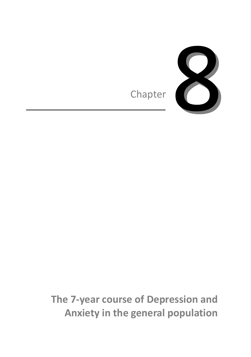

**The 7-year course of Depression and Anxiety in the general population**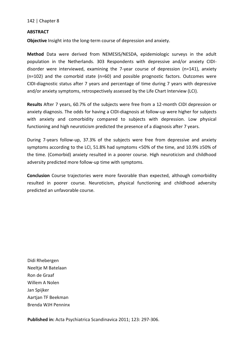# **ABSTRACT**

**Objective** Insight into the long-term course of depression and anxiety.

**Method** Data were derived from NEMESIS/NESDA, epidemiologic surveys in the adult population in the Netherlands. 303 Respondents with depressive and/or anxiety CIDIdisorder were interviewed, examining the 7-year course of depression (n=141), anxiety (n=102) and the comorbid state (n=60) and possible prognostic factors. Outcomes were CIDI-diagnostic status after 7 years and percentage of time during 7 years with depressive and/or anxiety symptoms, retrospectively assessed by the Life Chart Interview (LCI).

**Results** After 7 years, 60.7% of the subjects were free from a 12-month CIDI depression or anxiety diagnosis. The odds for having a CIDI-diagnosis at follow-up were higher for subjects with anxiety and comorbidity compared to subjects with depression. Low physical functioning and high neuroticism predicted the presence of a diagnosis after 7 years.

During 7-years follow-up, 37.3% of the subjects were free from depressive and anxiety symptoms according to the LCI, 51.8% had symptoms <50% of the time, and 10.9% ≥50% of the time. (Comorbid) anxiety resulted in a poorer course. High neuroticism and childhood adversity predicted more follow-up time with symptoms.

**Conclusion** Course trajectories were more favorable than expected, although comorbidity resulted in poorer course. Neuroticism, physical functioning and childhood adversity predicted an unfavorable course.

Didi Rhebergen Neeltje M Batelaan Ron de Graaf Willem A Nolen Jan Spijker Aartjan TF Beekman Brenda WJH Penninx

**Published in:** Acta Psychiatrica Scandinavica 2011; 123: 297-306.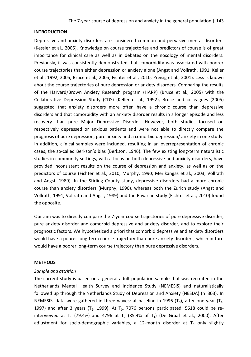# **INTRODUCTION**

Depressive and anxiety disorders are considered common and pervasive mental disorders (Kessler et al., 2005). Knowledge on course trajectories and predictors of course is of great importance for clinical care as well as in debates on the nosology of mental disorders. Previously, it was consistently demonstrated that comorbidity was associated with poorer course trajectories than either depression or anxiety alone (Angst and Vollrath, 1991; Keller et al., 1992, 2005; Bruce et al., 2005; Fichter et al., 2010; Preisig et al., 2001). Less is known about the course trajectories of pure depression or anxiety disorders. Comparing the results of the Harvard/Brown Anxiety Research program (HARP) (Bruce et al., 2005) with the Collaborative Depression Study (CDS) (Keller et al., 1992), Bruce and colleagues (2005) suggested that anxiety disorders more often have a chronic course than depressive disorders and that comorbidity with an anxiety disorder results in a longer episode and less recovery than pure Major Depressive Disorder. However, both studies focused on respectively depressed or anxious patients and were not able to directly compare the prognosis of pure depression, pure anxiety and a comorbid depression/ anxiety in one study. In addition, clinical samples were included, resulting in an overrepresentation of chronic cases, the so-called Berkson's bias (Berkson, 1946). The few existing long-term naturalistic studies in community settings, with a focus on both depressive and anxiety disorders, have provided inconsistent results on the course of depression and anxiety, as well as on the predictors of course (Fichter et al., 2010; Murphy, 1990; Merikangas et al., 2003; Vollrath and Angst, 1989). In the Stirling County study, depressive disorders had a more chronic course than anxiety disorders (Murphy, 1990), whereas both the Zurich study (Angst and Vollrath, 1991, Vollrath and Angst, 1989) and the Bavarian study (Fichter et al., 2010) found the opposite.

Our aim was to directly compare the 7-year course trajectories of pure depressive disorder, pure anxiety disorder and comorbid depressive and anxiety disorder, and to explore their prognostic factors. We hypothesized a priori that comorbid depressive and anxiety disorders would have a poorer long-term course trajectory than pure anxiety disorders, which in turn would have a poorer long-term course trajectory than pure depressive disorders.

#### **METHODS**

#### *Sample and attrition*

The current study is based on a general adult population sample that was recruited in the Netherlands Mental Health Survey and Incidence Study (NEMESIS) and naturalistically followed up through the Netherlands Study of Depression and Anxiety (NESDA) (n=303). In NEMESIS, data were gathered in three waves: at baseline in 1996 ( $T_0$ ), after one year ( $T_1$ , 1997) and after 3 years ( $T_2$ , 1999). At  $T_0$ , 7076 persons participated; 5618 could be reinterviewed at T<sub>1</sub> (79.4%) and 4796 at T<sub>2</sub> (85.4% of T<sub>1</sub>) (De Graaf et al., 2000). After adjustment for socio-demographic variables, a 12-month disorder at  $T_0$  only slightly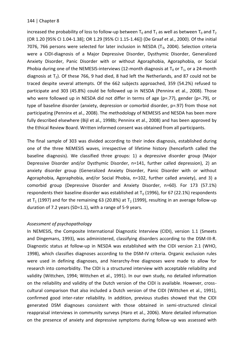increased the probability of loss to follow-up between  $T_0$  and  $T_1$  as well as between  $T_0$  and  $T_2$ (OR 1.20 [95% CI 1.04-1.38]; OR 1.29 [95% CI 1.15-1.46]) (De Graaf et al., 2000). Of the initial 7076, 766 persons were selected for later inclusion in NESDA  $(T_3, 2004)$ . Selection criteria were a CIDI-diagnosis of a Major Depressive Disorder, Dysthymic Disorder, Generalized Anxiety Disorder, Panic Disorder with or without Agoraphobia, Agoraphobia, or Social Phobia during one of the NEMESIS-interviews (12-month diagnosis at  $T_0$  or  $T_1$ , or a 24-month diagnosis at  $T_2$ ). Of these 766, 9 had died, 8 had left the Netherlands, and 87 could not be traced despite several attempts. Of the 662 subjects approached, 359 (54.2%) refused to participate and 303 (45.8%) could be followed up in NESDA (Penninx et al., 2008). Those who were followed up in NESDA did not differ in terms of age (p=.77), gender (p=.79), or type of baseline disorder (anxiety, depression or comorbid disorder, p=.97) from those not participating (Penninx et al., 2008). The methodology of NEMESIS and NESDA has been more fully described elsewhere (Bijl et al., 1998b; Penninx et al., 2008) and has been approved by the Ethical Review Board. Written informed consent was obtained from all participants.

The final sample of 303 was divided according to their index diagnosis, established during one of the three NEMESIS waves, irrespective of lifetime history (henceforth called the baseline diagnosis). We classified three groups: 1) a depressive disorder group (Major Depressive Disorder and/or Dysthymic Disorder, n=141, further called depression), 2) an anxiety disorder group (Generalized Anxiety Disorder, Panic Disorder with or without Agoraphobia, Agoraphobia, and/or Social Phobia, n=102, further called anxiety), and 3) a comorbid group (Depressive Disorder and Anxiety Disorder, n=60). For 173 (57.1%) respondents their baseline disorder was established at  $T_0$  (1996), for 67 (22.1%) respondents at  $T_1$  (1997) and for the remaining 63 (20.8%) at  $T_2$  (1999), resulting in an average follow-up duration of 7.2 years (SD=1.1), with a range of 5-9 years.

## *Assessment of psychopathology*

In NEMESIS, the Composite International Diagnostic Interview (CIDI), version 1.1 (Smeets and Dingemans, 1993), was administered, classifying disorders according to the DSM-III-R. Diagnostic status at follow-up in NESDA was established with the CIDI version 2.1 (WHO, 1998), which classifies diagnoses according to the DSM-IV criteria. Organic exclusion rules were used in defining diagnoses, and hierarchy-free diagnoses were made to allow for research into comorbidity. The CIDI is a structured interview with acceptable reliability and validity (Wittchen, 1994; Wittchen et al., 1991). In our own study, no detailed information on the reliability and validity of the Dutch version of the CIDI is available. However, crosscultural comparison that also included a Dutch version of the CIDI (Wittchen et al., 1991), confirmed good inter-rater reliability. In addition, previous studies showed that the CIDI generated DSM diagnoses consistent with those obtained in semi-structured clinical reappraisal interviews in community surveys (Haro et al., 2006). More detailed information on the presence of anxiety and depressive symptoms during follow-up was assessed with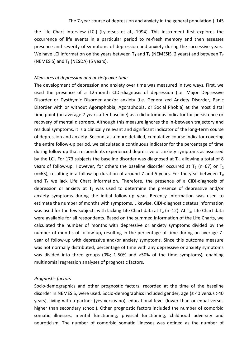the Life Chart Interview (LCI) (Lyketsos et al., 1994). This instrument first explores the occurrence of life events in a particular period to re-fresh memory and then assesses presence and severity of symptoms of depression and anxiety during the successive years. We have LCI information on the years between  $T_1$  and  $T_2$  (NEMESIS, 2 years) and between  $T_2$ (NEMESIS) and  $T_3$  (NESDA) (5 years).

#### *Measures of depression and anxiety over time*

The development of depression and anxiety over time was measured in two ways. First, we used the presence of a 12-month CIDI-diagnosis of depression (i.e. Major Depressive Disorder or Dysthymic Disorder and/or anxiety (i.e. Generalized Anxiety Disorder, Panic Disorder with or without Agoraphobia, Agoraphobia, or Social Phobia) at the most distal time point (on average 7 years after baseline) as a dichotomous indicator for persistence or recovery of mental disorders. Although this measure ignores the in-between trajectory and residual symptoms, it is a clinically relevant and significant indicator of the long-term course of depression and anxiety. Second, as a more detailed, cumulative course indicator covering the entire follow-up period, we calculated a continuous indicator for the percentage of time during follow-up that respondents experienced depressive or anxiety symptoms as assessed by the LCI. For 173 subjects the baseline disorder was diagnosed at  $T_0$ , allowing a total of 8 years of follow-up. However, for others the baseline disorder occurred at  $T_1$  (n=67) or  $T_2$ (n=63), resulting in a follow-up duration of around 7 and 5 years. For the year between  $T_0$ and  $T_1$  we lack Life Chart information. Therefore, the presence of a CIDI-diagnosis of depression or anxiety at  $T_1$  was used to determine the presence of depressive and/or anxiety symptoms during the initial follow-up year. Recency information was used to estimate the number of months with symptoms. Likewise, CIDI-diagnostic status information was used for the few subjects with lacking Life Chart data at  $T_2$  (n=12). At  $T_3$ , Life Chart data were available for all respondents. Based on the summed information of the Life Charts, we calculated the number of months with depressive or anxiety symptoms divided by the number of months of follow-up, resulting in the percentage of time during on average 7 year of follow-up with depressive and/or anxiety symptoms. Since this outcome measure was not normally distributed, percentage of time with any depressive or anxiety symptoms was divided into three groups (0%; 1-50% and >50% of the time symptoms), enabling multinomial regression analyses of prognostic factors.

### *Prognostic factors*

Socio-demographics and other prognostic factors, recorded at the time of the baseline disorder in NEMESIS, were used. Socio-demographics included gender, age (≤ 40 versus >40 years), living with a partner (yes versus no), educational level (lower than or equal versus higher than secondary school). Other prognostic factors included the number of comorbid somatic illnesses, mental functioning, physical functioning, childhood adversity and neuroticism. The number of comorbid somatic illnesses was defined as the number of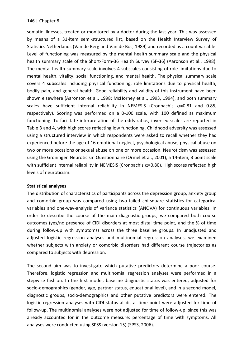somatic illnesses, treated or monitored by a doctor during the last year. This was assessed by means of a 31-item semi-structured list, based on the Health Interview Survey of Statistics Netherlands (Van de Berg and Van de Bos, 1989) and recorded as a count variable. Level of functioning was measured by the mental health summary scale and the physical health summary scale of the Short-Form-36 Health Survey (SF-36) (Aaronson et al., 1998). The mental health summary scale involves 4 subscales consisting of role limitations due to mental health, vitality, social functioning, and mental health. The physical summary scale covers 4 subscales including physical functioning, role limitations due to physical health, bodily pain, and general health. Good reliability and validity of this instrument have been shown elsewhere (Aaronson et al., 1998; McHorney et al., 1993, 1994), and both summary scales have sufficient internal reliability in NEMESIS (Cronbach's  $\alpha$ =0.81 and 0.85, respectively). Scoring was performed on a 0-100 scale, with 100 defined as maximum functioning. To facilitate interpretation of the odds ratios, inversed scales are reported in Table 3 and 4, with high scores reflecting low functioning. Childhood adversity was assessed using a structured interview in which respondents were asked to recall whether they had experienced before the age of 16 emotional neglect, psychological abuse, physical abuse on two or more occasions or sexual abuse on one or more occasion. Neuroticism was assessed using the Groningen Neuroticism Questionnaire (Ormel et al., 2001), a 14-item, 3 point scale with sufficient internal reliability in NEMESIS (Cronbach's  $\alpha$ =0.80). High scores reflected high levels of neuroticism.

#### **Statistical analyses**

The distribution of characteristics of participants across the depression group, anxiety group and comorbid group was compared using two-tailed chi-square statistics for categorical variables and one-way-analysis of variance statistics (ANOVA) for continuous variables. In order to describe the course of the main diagnostic groups, we compared both course outcomes (yes/no presence of CIDI disorders at most distal time point, and the % of time during follow-up with symptoms) across the three baseline groups. In unadjusted and adjusted logistic regression analyses and multinomial regression analyses, we examined whether subjects with anxiety or comorbid disorders had different course trajectories as compared to subjects with depression.

The second aim was to investigate which putative predictors determine a poor course. Therefore, logistic regression and multinomial regression analyses were performed in a stepwise fashion. In the first model, baseline diagnostic status was entered, adjusted for socio-demographics (gender, age, partner status, educational level), and in a second model, diagnostic groups, socio-demographics and other putative predictors were entered. The logistic regression analyses with CIDI-status at distal time point were adjusted for time of follow-up. The multinomial analyses were not adjusted for time of follow-up, since this was already accounted for in the outcome measure: percentage of time with symptoms. All analyses were conducted using SPSS (version 15) (SPSS, 2006).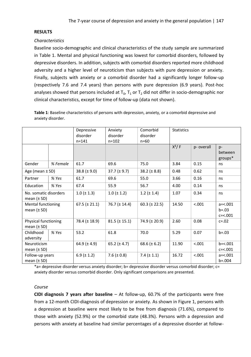# **RESULTS**

## *Characteristics*

Baseline socio-demographic and clinical characteristics of the study sample are summarized in Table 1. Mental and physical functioning was lowest for comorbid disorders, followed by depressive disorders. In addition, subjects with comorbid disorders reported more childhood adversity and a higher level of neuroticism than subjects with pure depression or anxiety. Finally, subjects with anxiety or a comorbid disorder had a significantly longer follow-up (respectively 7.6 and 7.4 years) than persons with pure depression (6.9 years). Post-hoc analyses showed that persons included at  $T_0$ ,  $T_1$  or  $T_2$  did not differ in socio-demographic nor clinical characteristics, except for time of follow-up (data not shown).

**Table 1**: Baseline characteristics of persons with depression, anxiety, or a comorbid depressive and anxiety disorder.

|                                          |          | Depressive             | Anxiety            | Comorbid           | <b>Statistics</b> |           |                                         |
|------------------------------------------|----------|------------------------|--------------------|--------------------|-------------------|-----------|-----------------------------------------|
|                                          |          | disorder               | disorder           | disorder           |                   |           |                                         |
|                                          |          | $n = 141$<br>$n = 102$ |                    | $n = 60$           |                   |           |                                         |
|                                          |          |                        |                    |                    | $X^2/F$           | p-overall | $p-$<br>between<br>groups*              |
| Gender                                   | % Female | 61.7                   | 69.6               | 75.0               | 3.84              | 0.15      | ns                                      |
| Age (mean $\pm$ SD)                      |          | $38.8 (\pm 9.0)$       | $37.7 (\pm 9.7)$   | 38.2 ( $\pm$ 8.8)  | 0.62<br>0.48      |           | ns                                      |
| Partner                                  | % Yes    | 61.7                   | 69.6               | 55.0               | 3.66              | 0.16      | ns                                      |
| Education                                | % Yes    | 67.4                   | 55.9               | 56.7               | 4.00              | 0.14      | ns                                      |
| No. somatic disorders<br>mean $(\pm SD)$ |          | $1.0 (\pm 1.3)$        | $1.0 (\pm 1.2)$    | $1.2$ ( $\pm$ 1.4) | 1.07              | 0.34      | ns                                      |
| Mental functioning<br>mean $(\pm SD)$    |          | $67.5 (\pm 21.1)$      | 76.7 ( $\pm$ 14.4) | 60.3 ( $\pm$ 22.5) | 14.50             | < .001    | $a = 5.001$<br>$b = .03$<br>$c = 0.001$ |
| Physical functioning<br>mean $(\pm SD)$  |          | 78.4 (± 18.9)          | $81.5 (\pm 15.1)$  | 74.9 $(\pm 20.9)$  | 2.60              | 0.08      | $c = .02$                               |
| Childhood<br>adversity                   | % Yes    | 53.2                   | 61.8               | 70.0               | 5.29              | 0.07      | $b = .03$                               |
| Neuroticism<br>mean $(\pm SD)$           |          | 64.9 $(\pm 4.9)$       | 65.2 $(\pm 4.7)$   | 68.6 ( $\pm$ 6.2)  | 11.90             | < .001    | $b = < .001$<br>$c = 0.001$             |
| Follow-up years<br>mean $(\pm SD)$       |          | 6.9 ( $\pm$ 1.2)       | 7.6 ( $\pm$ 0.8)   | $7.4 (\pm 1.1)$    | 16.72             | < .001    | $a = 5.001$<br>$b = .004$               |

\*a= depressive disorder versus anxiety disorder; b= depressive disorder versus comorbid disorder; c= anxiety disorder versus comorbid disorder. Only significant comparisons are presented.

## *Course*

**CIDI diagnosis 7 years after baseline** – At follow-up, 60.7% of the participants were free from a 12-month CIDI-diagnosis of depression or anxiety. As shown in Figure 1, persons with a depression at baseline were most likely to be free from diagnosis (71.6%), compared to those with anxiety (52.9%) or the comorbid state (48.3%). Persons with a depression and persons with anxiety at baseline had similar percentages of a depressive disorder at follow-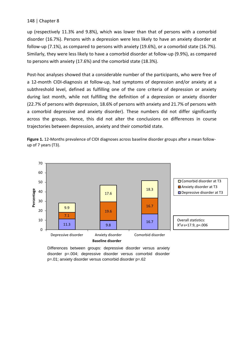up (respectively 11.3% and 9.8%), which was lower than that of persons with a comorbid disorder (16.7%). Persons with a depression were less likely to have an anxiety disorder at follow-up (7.1%), as compared to persons with anxiety (19.6%), or a comorbid state (16.7%). Similarly, they were less likely to have a comorbid disorder at follow-up (9.9%), as compared to persons with anxiety (17.6%) and the comorbid state (18.3%).

Post-hoc analyses showed that a considerable number of the participants, who were free of a 12-month CIDI-diagnosis at follow-up, had symptoms of depression and/or anxiety at a subthreshold level, defined as fulfilling one of the core criteria of depression or anxiety during last month, while not fulfilling the definition of a depression or anxiety disorder (22.7% of persons with depression, 18.6% of persons with anxiety and 21.7% of persons with a comorbid depressive and anxiety disorder). These numbers did not differ significantly across the groups. Hence, this did not alter the conclusions on differences in course trajectories between depression, anxiety and their comorbid state.





Differences between groups: depressive disorder versus anxiety disorder p=.004; depressive disorder versus comorbid disorder p=.01; anxiety disorder versus comorbid disorder p=.62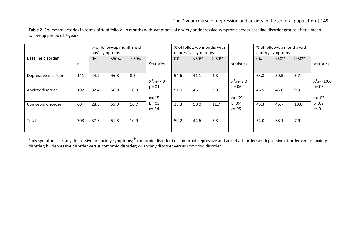Table 2. Course trajectories in terms of % of follow-up months with symptoms of anxiety or depressive symptoms across baseline disorder groups after a mean follow-up period of 7-years.

|                     |     | % of follow-up months with<br>any <sup>a</sup> symptoms |       |             | % of follow-up months with<br>depressive symptoms |      |      | % of follow-up months with<br>anxiety symptoms |                                       |      |      |             |                               |
|---------------------|-----|---------------------------------------------------------|-------|-------------|---------------------------------------------------|------|------|------------------------------------------------|---------------------------------------|------|------|-------------|-------------------------------|
| Baseline disorder   | n   | 0%                                                      | < 50% | $\geq 50\%$ | <b>Statistics</b>                                 | 0%   | <50% | $\geq 50\%$                                    | statistics                            | 0%   | <50% | $\geq 50\%$ | statistics                    |
| Depressive disorder | 141 | 44.7                                                    | 46.8  | 8.5         | $X^2_{df4} = 7.9$<br>$p = 0.01$                   | 54.6 | 41.1 | 4.3                                            | $X^2_{\text{df4}} = 9.0$<br>$p = .06$ | 63.8 | 30.5 | 5.7         | $X^2_{df4} = 10.6$<br>$p=.03$ |
| Anxiety disorder    | 102 | 32.4                                                    | 56.9  | 10.8        | $a = 15$                                          | 51.0 | 46.1 | 2.9                                            | $a = .69$                             | 46.5 | 43.6 | 9.9         | $a = .03$                     |
| Comorbid disorder   | 60  | 28.3                                                    | 55.0  | 16.7        | $b = .05$<br>$c = .54$                            | 38.3 | 50.0 | 11.7                                           | $b = .04$<br>$c = .05$                | 43.3 | 46.7 | 10.0        | $b = .03$<br>$c = .91$        |
| Total               | 303 | 37.3                                                    | 51.8  | 10.9        |                                                   | 50.2 | 44.6 | 5.3                                            |                                       | 54.0 | 38.1 | 7.9         |                               |

 $^{\text{a}}$ any symptoms i.e. any depressive or anxiety symptoms;  $^{\text{b}}$  comorbid disorder i.e. comorbid depressive and anxiety disorder; a= depressive disorder versus anxiety disorder; b= depressive disorder versus comorbid disorder; c= anxiety disorder versus comorbid disorder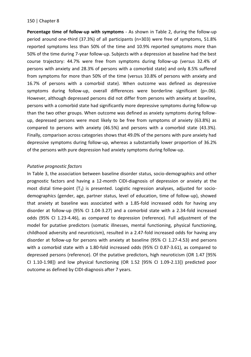**Percentage time of follow-up with symptoms** - As shown in Table 2, during the follow-up period around one-third (37.3%) of all participants (n=303) were free of symptoms, 51.8% reported symptoms less than 50% of the time and 10.9% reported symptoms more than 50% of the time during 7-year follow-up. Subjects with a depression at baseline had the best course trajectory: 44.7% were free from symptoms during follow-up (versus 32.4% of persons with anxiety and 28.3% of persons with a comorbid state) and only 8.5% suffered from symptoms for more than 50% of the time (versus 10.8% of persons with anxiety and 16.7% of persons with a comorbid state). When outcome was defined as depressive symptoms during follow-up, overall differences were borderline significant (p=.06). However, although depressed persons did not differ from persons with anxiety at baseline, persons with a comorbid state had significantly more depressive symptoms during follow-up than the two other groups. When outcome was defined as anxiety symptoms during followup, depressed persons were most likely to be free from symptoms of anxiety (63.8%) as compared to persons with anxiety (46.5%) and persons with a comorbid state (43.3%). Finally, comparison across categories shows that 49.0% of the persons with pure anxiety had depressive symptoms during follow-up, whereas a substantially lower proportion of 36.2% of the persons with pure depression had anxiety symptoms during follow-up.

## *Putative prognostic factors*

In Table 3, the association between baseline disorder status, socio-demographics and other prognostic factors and having a 12-month CIDI-diagnosis of depression or anxiety at the most distal time-point  $(T_3)$  is presented. Logistic regression analyses, adjusted for sociodemographics (gender, age, partner status, level of education, time of follow-up), showed that anxiety at baseline was associated with a 1.85-fold increased odds for having any disorder at follow-up (95% CI 1.04-3.27) and a comorbid state with a 2.34-fold increased odds (95% CI 1.23-4.46), as compared to depression (reference). Full adjustment of the model for putative predictors (somatic illnesses, mental functioning, physical functioning, childhood adversity and neuroticism), resulted in a 2.47-fold increased odds for having any disorder at follow-up for persons with anxiety at baseline (95% CI 1.27-4.53) and persons with a comorbid state with a 1.80-fold increased odds (95% CI 0.87-3.61), as compared to depressed persons (reference). Of the putative predictors, high neuroticism (OR 1.47 [95% CI 1.10-1.98]) and low physical functioning (OR 1.52 [95% CI 1.09-2.13]) predicted poor outcome as defined by CIDI-diagnosis after 7 years.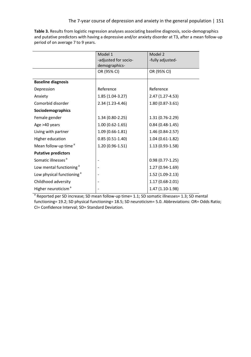**Table 3.** Results from logistic regression analyses associating baseline diagnosis, socio-demographics and putative predictors with having a depressive and/or anxiety disorder at T3, after a mean follow-up period of on average 7 to 9 years.

|                                       | Model 1              | Model 2             |
|---------------------------------------|----------------------|---------------------|
|                                       | -adjusted for socio- | -fully adjusted-    |
|                                       | demographics-        |                     |
|                                       | OR (95% CI)          | OR (95% CI)         |
| <b>Baseline diagnosis</b>             |                      |                     |
| Depression                            | Reference            | Reference           |
| Anxiety                               | 1.85 (1.04-3.27)     | 2.47 (1.27-4.53)    |
| Comorbid disorder                     | 2.34 (1.23-4.46)     | 1.80 (0.87-3.61)    |
| Sociodemographics                     |                      |                     |
| Female gender                         | $1.34(0.80-2.25)$    | 1.31 (0.76-2.29)    |
| Age >40 years                         | $1.00(0.62 - 1.65)$  | $0.84(0.48-1.45)$   |
| Living with partner                   | $1.09(0.66-1.81)$    | 1.46 (0.84-2.57)    |
| Higher education                      | $0.85(0.51-1.40)$    | $1.04(0.61-1.82)$   |
| Mean follow-up time <sup>a</sup>      | $1.20(0.96-1.51)$    | 1.13 (0.93-1.58)    |
| <b>Putative predictors</b>            |                      |                     |
| Somatic illnesses <sup>a</sup>        |                      | $0.98(0.77 - 1.25)$ |
| Low mental functioning <sup>a</sup>   |                      | 1.27 (0.94-1.69)    |
| Low physical functioning <sup>a</sup> |                      | 1.52 (1.09-2.13)    |
| Childhood adversity                   |                      | 1.17 (0.68-2.01)    |
| Higher neuroticism <sup>a</sup>       |                      | 1.47 (1.10-1.98)    |

<sup>a</sup> Reported per SD increase; SD mean follow-up time= 1.1; SD somatic illnesses= 1.3; SD mental functioning= 19.2; SD physical functioning= 18.5; SD neuroticism= 5.0. Abbreviations: OR= Odds Ratio; CI= Confidence Interval; SD= Standard Deviation.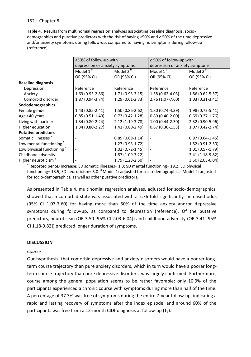**Table 4.** Results from multinomial regression analyses associating baseline diagnosis, sociodemographics and putative predictors with the risk of having <50% and ≥ 50% of the time depressive and/or anxiety symptoms during follow-up, compared to having no symptoms during follow-up (reference).

|                                       | <50% of follow-up with         |                      | $\geq$ 50% of follow-up with   |                      |  |  |
|---------------------------------------|--------------------------------|----------------------|--------------------------------|----------------------|--|--|
|                                       | depression or anxiety symptoms |                      | depression or anxiety symptoms |                      |  |  |
|                                       | Model $1^{\overline{b}}$       | Model $2^{\sqrt{5}}$ | Model 1 <sup>b</sup>           | Model 2 <sup>b</sup> |  |  |
|                                       | OR (95% CI)                    | OR (95% CI)          | OR (95% CI)                    | OR (95% CI)          |  |  |
| <b>Baseline diagnosis</b>             |                                |                      |                                |                      |  |  |
| Depression                            | Reference                      | Reference            | Reference                      | Reference            |  |  |
| Anxiety                               | $1.63(0.93-2.86)$              | $1.71(0.93-3.15)$    | $1.58(0.62 - 4.03)$            | $1.86(0.62 - 5.57)$  |  |  |
| Comorbid disorder                     | 1.87 (0.94-3.74)               | $1.29(0.61-2.73)$    | 2.76 (1.07-7.60)               | $1.03(0.31-3.41)$    |  |  |
| Sociodemographics                     |                                |                      |                                |                      |  |  |
| Female gender                         | $1.43(0.85 - 2.41)$            | $1.50(0.86-2.62)$    | 1.80 (0.74-4.39)               | $1.98(0.72 - 5.41)$  |  |  |
| Age >40 years                         | $0.85(0.51-1.40)$              | $0.73(0.42 - 1.28)$  | $0.89(0.40-2.00)$              | $0.69(0.27-1.76)$    |  |  |
| Living with partner                   | $1.34(0.80-2.24)$              | $2.12(1.19-3.78)$    | $1.00(0.44 - 2.30)$            | 2.32 (0.90-5.96)     |  |  |
| Higher education                      | $1.34(0.80-2.27)$              | 1.41 (0.80-2.49)     | $0.67(0.30-1.53)$              | $1.07(0.42 - 2.74)$  |  |  |
| <b>Putative predictors</b>            |                                |                      |                                |                      |  |  |
| Somatic illnesses <sup>a</sup>        |                                | $0.89(0.69-1.14)$    |                                | $0.97(0.64-1.45)$    |  |  |
| Low mental functioning <sup>a</sup>   |                                | $1.27(0.93-1.72)$    |                                | 1.52 (0.91-2.50)     |  |  |
| Low physical functioning <sup>a</sup> |                                | $1.02(0.72 - 1.45)$  |                                | $1.01(0.57-1.79)$    |  |  |
| Childhood adversity                   |                                | $1.87(1.09-3.22)$    |                                | 3.41 (1.18-9.82)     |  |  |
| Higher neuroticism <sup>®</sup>       |                                | 1.79 (1.28-2.50)     |                                | $3.50(2.03-6.04)$    |  |  |

<sup>a</sup> Reported per SD increase; SD somatic illnesses= 1.3; SD mental functioning= 19.2; SD physical functioning= 18.5; SD neuroticism= 5.0.  $b$  Model 1: adjusted for socio-demographics. Model 2: adjusted for socio-demographics, as well as other putative predictors.

As presented in Table 4, multinomial regression analyses, adjusted for socio-demographics, showed that a comorbid state was associated with a 2.76-fold significantly increased odds (95% CI 1.07-7.60) for having more than 50% of the time anxiety and/or depressive symptoms during follow-up, as compared to depression (reference). Of the putative predictors, neuroticism (OR 3.50 [95% CI 2.03-6.04]) and childhood adversity (OR 3.41 [95% CI 1.18-9.82]) predicted longer duration of symptoms.

# **DISCUSSION**

# *Course*

Our hypothesis, that comorbid depressive and anxiety disorders would have a poorer longterm course trajectory than pure anxiety disorders, which in turn would have a poorer longterm course trajectory than pure depressive disorders, was largely confirmed. Furthermore, course among the general population seems to be rather favorable: only 10.9% of the participants experienced a chronic course with symptoms during more than half of the time. A percentage of 37.3% was free of symptoms during the entire 7-year follow-up, indicating a rapid and lasting recovery of symptoms after the index episode, and around 60% of the participants was free from a 12-month CIDI-diagnosis at follow-up  $(T_3)$ .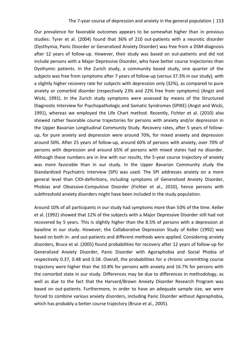Our prevalence for favorable outcomes appears to be somewhat higher than in previous studies: Tyrer et al. (2004) found that 36% of 210 out-patients with a neurotic disorder (Dysthymia, Panic Disorder or Generalized Anxiety Disorder) was free from a DSM-diagnosis after 12 years of follow-up. However, their study was based on out-patients and did not include persons with a Major Depressive Disorder, who have better course trajectories than Dysthymic patients. In the Zurich study, a community based study, one quarter of the subjects was free from symptoms after 7 years of follow-up (versus 37.3% in our study), with a slightly higher recovery rate for subjects with depression only (32%), as compared to pure anxiety or comorbid disorder (respectively 23% and 22% free from symptoms) (Angst and Wicki, 1991). In the Zurich study symptoms were assessed by means of the Structured Diagnostic Interview for Psychopathologic and Somatic Syndromes (SPIKE) (Angst and Wicki, 1991), whereas we employed the Life Chart method. Recently, Fichter et al. (2010) also showed rather favorable course trajectories for persons with anxiety and/or depression in the Upper Bavarian Longitudinal Community Study. Recovery rates, after 5 years of followup, for pure anxiety and depression were around 70%, for mixed anxiety and depression around 50%. After 25 years of follow-up, around 60% of persons with anxiety, over 70% of persons with depression and around 65% of persons with mixed states had no disorder. Although these numbers are in line with our results, the 5-year course trajectory of anxiety was more favorable than in our study. In the Upper Bavarian Community study the Standardized Psychiatric Interview (SPI) was used. The SPI addresses anxiety on a more general level than CIDI-definitions, including symptoms of Generalized Anxiety Disorder, Phobias and Obsessive-Compulsive Disorder (Fichter et al., 2010), hence persons with subthreshold anxiety disorders might have been included in the study population.

Around 10% of all participants in our study had symptoms more than 50% of the time. Keller et al. (1992) showed that 12% of the subjects with a Major Depressive Disorder still had not recovered by 5 years. This is slightly higher than the 8.5% of persons with a depression at baseline in our study. However, the Collaborative Depression Study of Keller (1992) was based on both in- and out-patients and different methods were applied. Considering anxiety disorders, Bruce et al. (2005) found probabilities for recovery after 12 years of follow-up for Generalized Anxiety Disorder, Panic Disorder with Agoraphobia and Social Phobia of respectively 0.37, 0.48 and 0.58. Overall, the probabilities for a chronic unremitting course trajectory were higher than the 10.8% for persons with anxiety and 16.7% for persons with the comorbid state in our study. Differences may be due to differences in methodology, as well as due to the fact that the Harvard/Brown Anxiety Disorder Research Program was based on out-patients. Furthermore, in order to have an adequate sample size, we were forced to combine various anxiety disorders, including Panic Disorder without Agoraphobia, which has probably a better course trajectory (Bruce et al., 2005).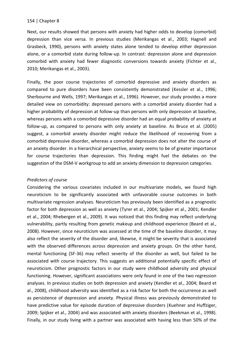Next, our results showed that persons with anxiety had higher odds to develop (comorbid) depression than vice versa. In previous studies (Merikangas et al., 2003; Hagnell and Grasbeck, 1990), persons with anxiety states alone tended to develop either depression alone, or a comorbid state during follow-up. In contrast: depression alone and depression comorbid with anxiety had fewer diagnostic conversions towards anxiety (Fichter et al., 2010; Merikangas et al., 2003).

Finally, the poor course trajectories of comorbid depressive and anxiety disorders as compared to pure disorders have been consistently demonstrated (Kessler et al., 1996; Sherbourne and Wells, 1997; Merikangas et al., 1996). However, our study provides a more detailed view on comorbidity: depressed persons with a comorbid anxiety disorder had a higher probability of depression at follow-up than persons with only depression at baseline, whereas persons with a comorbid depressive disorder had an equal probability of anxiety at follow-up, as compared to persons with only anxiety at baseline. As Bruce et al. (2005) suggest, a comorbid anxiety disorder might reduce the likelihood of recovering from a comorbid depressive disorder, whereas a comorbid depression does not alter the course of an anxiety disorder. In a hierarchical perspective, anxiety seems to be of greater importance for course trajectories than depression. This finding might fuel the debates on the suggestion of the DSM-V workgroup to add an anxiety dimension to depression categories.

#### *Predictors of course*

Considering the various covariates included in our multivariate models, we found high neuroticism to be significantly associated with unfavorable course outcomes in both multivariate regression analyses. Neuroticism has previously been identified as a prognostic factor for both depression as well as anxiety (Tyrer et al., 2004; Spijker et al., 2001; Kendler et al., 2004; Rhebergen et al., 2009). It was noticed that this finding may reflect underlying vulnerability, partly resulting from genetic makeup and childhood experience (Beard et al., 2008). However, since neuroticism was assessed at the time of the baseline disorder, it may also reflect the severity of the disorder and, likewise, it might be severity that is associated with the observed differences across depression and anxiety groups. On the other hand, mental functioning (SF-36) may reflect severity of the disorder as well, but failed to be associated with course trajectory. This suggests an additional potentially specific effect of neuroticism. Other prognostic factors in our study were childhood adversity and physical functioning. However, significant associations were only found in one of the two regression analyses. In previous studies on both depression and anxiety (Kendler et al., 2004; Beard et al., 2008), childhood adversity was identified as a risk factor for both the occurrence as well as persistence of depression and anxiety. Physical illness was previously demonstrated to have predictive value for episode duration of depressive disorders (Kuehner and Huffziger, 2009; Spijker et al., 2004) and was associated with anxiety disorders (Beekman et al., 1998). Finally, in our study living with a partner was associated with having less than 50% of the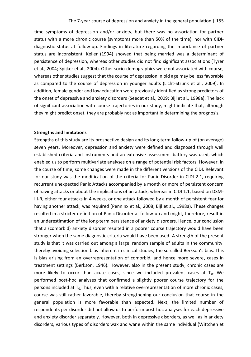time symptoms of depression and/or anxiety, but there was no association for partner status with a more chronic course (symptoms more than 50% of the time), nor with CIDIdiagnostic status at follow-up. Findings in literature regarding the importance of partner status are inconsistent. Keller (1994) showed that being married was a determinant of persistence of depression, whereas other studies did not find significant associations (Tyrer et al., 2004; Spijker et al., 2004). Other socio-demographics were not associated with course, whereas other studies suggest that the course of depression in old age may be less favorable as compared to the course of depression in younger adults (Licht-Strunk et al., 2009). In addition, female gender and low education were previously identified as strong predictors of the onset of depressive and anxiety disorders (Seedat et al., 2009; Bijl et al., 1998a). The lack of significant association with course trajectories in our study, might indicate that, although they might predict onset, they are probably not as important in determining the prognosis.

#### **Strengths and limitations**

Strengths of this study are its prospective design and its long-term follow-up of (on average) seven years. Moreover, depression and anxiety were defined and diagnosed through well established criteria and instruments and an extensive assessment battery was used, which enabled us to perform multivariate analyses on a range of potential risk factors. However, in the course of time, some changes were made in the different versions of the CIDI. Relevant for our study was the modification of the criteria for Panic Disorder in CIDI 2.1, requiring recurrent unexpected Panic Attacks accompanied by a month or more of persistent concern of having attacks or about the implications of an attack, whereas in CIDI 1.1, based on DSM-III-R, either four attacks in 4 weeks, or one attack followed by a month of persistent fear for having another attack, was required (Penninx et al., 2008; Bijl et al., 1998a). These changes resulted in a stricter definition of Panic Disorder at follow-up and might, therefore, result in an underestimation of the long-term persistence of anxiety disorders. Hence, our conclusion that a (comorbid) anxiety disorder resulted in a poorer course trajectory would have been stronger when the same diagnostic criteria would have been used. A strength of the present study is that it was carried out among a large, random sample of adults in the community, thereby avoiding selection bias inherent in clinical studies, the so-called Berkson's bias. This is bias arising from an overrepresentation of comorbid, and hence more severe, cases in treatment settings (Berkson, 1946). However, also in the present study, chronic cases are more likely to occur than acute cases, since we included prevalent cases at  $T_0$ . We performed post-hoc analyses that confirmed a slightly poorer course trajectory for the persons included at  $T_0$ . Thus, even with a relative overrepresentation of more chronic cases, course was still rather favorable, thereby strengthening our conclusion that course in the general population is more favorable than expected. Next, the limited number of respondents per disorder did not allow us to perform post-hoc analyses for each depressive and anxiety disorder separately. However, both in depressive disorders, as well as in anxiety disorders, various types of disorders wax and wane within the same individual (Wittchen et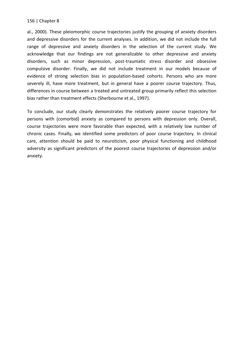al., 2000). These pleiomorphic course trajectories justify the grouping of anxiety disorders and depressive disorders for the current analyses. In addition, we did not include the full range of depressive and anxiety disorders in the selection of the current study. We acknowledge that our findings are not generalizable to other depressive and anxiety disorders, such as minor depression, post-traumatic stress disorder and obsessive compulsive disorder. Finally, we did not include treatment in our models because of evidence of strong selection bias in population-based cohorts. Persons who are more severely ill, have more treatment, but in general have a poorer course trajectory. Thus, differences in course between a treated and untreated group primarily reflect this selection bias rather than treatment effects (Sherbourne et al., 1997).

To conclude, our study clearly demonstrates the relatively poorer course trajectory for persons with (comorbid) anxiety as compared to persons with depression only. Overall, course trajectories were more favorable than expected, with a relatively low number of chronic cases. Finally, we identified some predictors of poor course trajectory. In clinical care, attention should be paid to neuroticism, poor physical functioning and childhood adversity as significant predictors of the poorest course trajectories of depression and/or anxiety.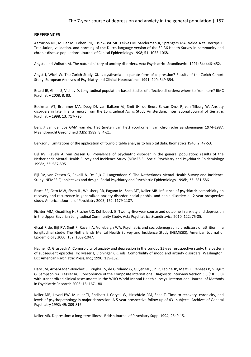#### The 7-year course of depression and anxiety in the general population | 157

#### **REFERENCES**

Aaronson NK, Muller M, Cohen PD, Essink-Bot ML, Fekkes M, Sanderman R, Sprangers MA, Velde A te, Verrips E. Translation, validation, and norming of the Dutch language version of the SF-36 Health Survey in community and chronic disease populations. Journal of Clinical Epidemiology 1998; 51: 1055-1068.

Angst J and Vollrath M. The natural history of anxiety disorders. Acta Psychiatrica Scandinavica 1991; 84: 446–452.

Angst J, Wicki W. The Zurich Study. XI. Is dysthymia a separate form of depression? Results of the Zurich Cohort Study. European Archives of Psychiatry and Clinical Neuroscience 1991; 240: 349-354.

Beard JR, Galea S, Vlahov D. Longitudinal population-based studies of affective disorders: where to from here? BMC Psychiatry 2008; 8: 83.

Beekman AT, Bremmer MA, [Deeg DJ,](http://www.ncbi.nlm.nih.gov/pubmed?term=Deeg%20DJ%5BAuthor%5D&cauthor=true&cauthor_uid=9818308) [van Balkom AJ,](http://www.ncbi.nlm.nih.gov/pubmed?term=van%20Balkom%20AJ%5BAuthor%5D&cauthor=true&cauthor_uid=9818308) [Smit JH,](http://www.ncbi.nlm.nih.gov/pubmed?term=Smit%20JH%5BAuthor%5D&cauthor=true&cauthor_uid=9818308) [de Beurs E,](http://www.ncbi.nlm.nih.gov/pubmed?term=de%20Beurs%20E%5BAuthor%5D&cauthor=true&cauthor_uid=9818308) [van Dyck R,](http://www.ncbi.nlm.nih.gov/pubmed?term=van%20Dyck%20R%5BAuthor%5D&cauthor=true&cauthor_uid=9818308) [van Tilburg W.](http://www.ncbi.nlm.nih.gov/pubmed?term=van%20Tilburg%20W%5BAuthor%5D&cauthor=true&cauthor_uid=9818308) Anxiety disorders in later life: a report from the Longitudinal Aging Study Amsterdam. International Journal of Geriatric Psychiatry 1998; 13: 717-726.

Berg J van de, Bos GAM van de. Het (meten van het) voorkomen van chronische aandoeningen 1974-1987. Maandbericht Gezondheid (CBS) 1989; 8: 4-21.

Berkson J. Limitations of the application of fourfold table analysis to hospital data. Biometrics 1946; 2: 47-53.

Bijl RV, Ravelli A, van Zessen G. Prevalence of psychiatric disorder in the general population: results of the Netherlands Mental Health Survey and Incidence Study (NEMESIS). Social Psychiatry and Psychiatric Epidemiology 1998a; 33: 587-595.

Bijl RV, van Zessen G, Ravelli A, De Rijk C, Langendoen Y. The Netherlands Mental Health Survey and Incidence Study (NEMESIS): objectives and design. Social Psychiatry and Psychiatric Epidemiology 1998b; 33: 581-586.

Bruce SE[, Otto MW,](http://www.ncbi.nlm.nih.gov/pubmed?term=Otto%20MW%5BAuthor%5D&cauthor=true&cauthor_uid=15930067) [Eisen JL,](http://www.ncbi.nlm.nih.gov/pubmed?term=Eisen%20JL%5BAuthor%5D&cauthor=true&cauthor_uid=15930067) [Weisberg RB,](http://www.ncbi.nlm.nih.gov/pubmed?term=Weisberg%20RB%5BAuthor%5D&cauthor=true&cauthor_uid=15930067) [Pagano M,](http://www.ncbi.nlm.nih.gov/pubmed?term=Pagano%20M%5BAuthor%5D&cauthor=true&cauthor_uid=15930067) [Shea MT,](http://www.ncbi.nlm.nih.gov/pubmed?term=Shea%20MT%5BAuthor%5D&cauthor=true&cauthor_uid=15930067) [Keller MB.](http://www.ncbi.nlm.nih.gov/pubmed?term=Keller%20MB%5BAuthor%5D&cauthor=true&cauthor_uid=15930067) Influence of psychiatric comorbidity on recovery and recurrence in generalized anxiety disorder, social phobia, and panic disorder: a 12-year prospective study. American Journal of Psychiatry 2005; 162: 1179-1187.

Fichter MM, Quadflieg N, Fischer UC, Kohlboeck G. Twenty-five-year course and outcome in anxiety and depression in the Upper Bavarian Longitudinal Community Study. Acta Psychiatrica Scandinavica 2010; 122: 75-85.

Graaf R de, Bijl RV, Smit F[, Ravelli A,](http://www.ncbi.nlm.nih.gov/pubmed?term=Ravelli%20A%5BAuthor%5D&cauthor=true&cauthor_uid=11117613) [Vollebergh WA.](http://www.ncbi.nlm.nih.gov/pubmed?term=Vollebergh%20WA%5BAuthor%5D&cauthor=true&cauthor_uid=11117613) Psychiatric and sociodemographic predictors of attrition in a longitudinal study: The Netherlands Mental Health Survey and Incidence Study (NEMESIS). American Journal of Epidemiology 2000; 152: 1039-1047.

Hagnell O, Grasbeck A. Comorbidity of anxiety and depression in the Lundby 25-year prospective study: the pattern of subsequent episodes. In: Maser J, Cloninger CR, eds. Comorbidity of mood and anxiety disorders. Washington, DC: American Psychiatric Press, Inc.; 1990: 139-152.

Haro JM, Arbabzadeh-Bouchez S, Brugha TS, de Girolamo G, Guyer ME, Jin R, Lepine JP, Mazzi F, Reneses B, Vilagut G, Sampson NA, Kessler RC[. Concordance of the Composite International Diagnostic Interview Version 3.0 \(CIDI 3.0\)](http://www.ncbi.nlm.nih.gov/pubmed/17266013)  [with standardized clinical assessments in the WHO World Mental Health surveys.](http://www.ncbi.nlm.nih.gov/pubmed/17266013) International Journal of Methods in Psychiatric Research 2006; 15: 167-180.

Keller MB, Lavori PW, [Mueller TI,](http://www.ncbi.nlm.nih.gov/pubmed?term=Mueller%20TI%5BAuthor%5D&cauthor=true&cauthor_uid=1417434) [Endicott J,](http://www.ncbi.nlm.nih.gov/pubmed?term=Endicott%20J%5BAuthor%5D&cauthor=true&cauthor_uid=1417434) [Coryell W,](http://www.ncbi.nlm.nih.gov/pubmed?term=Coryell%20W%5BAuthor%5D&cauthor=true&cauthor_uid=1417434) [Hirschfeld RM,](http://www.ncbi.nlm.nih.gov/pubmed?term=Hirschfeld%20RM%5BAuthor%5D&cauthor=true&cauthor_uid=1417434) [Shea T.](http://www.ncbi.nlm.nih.gov/pubmed?term=Shea%20T%5BAuthor%5D&cauthor=true&cauthor_uid=1417434) Time to recovery, chronicity, and levels of psychopathology in major depression. A 5-year prospective follow-up of 431 subjects. Archives of General Psychiatry 1992; 49: 809-816.

Keller MB. Depression: a long-term illness. British Journal of Psychiatry Suppl 1994; 26: 9-15.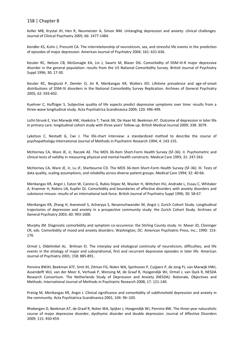Keller MB, Krystal JH, Hen R, [Neumeister A,](http://www.ncbi.nlm.nih.gov/pubmed?term=Neumeister%20A%5BAuthor%5D&cauthor=true&cauthor_uid=16420087) [Simon NM.](http://www.ncbi.nlm.nih.gov/pubmed?term=Simon%20NM%5BAuthor%5D&cauthor=true&cauthor_uid=16420087) Untangling depression and anxiety: clinical challenges. Journal of Clinical Psychiatry 2005; 66: 1477-1484.

Kendler KS, Kuhn J, Prescott CA. The interrelationship of neuroticism, sex, and stressful life events in the prediction of episodes of major depression. American Journal of Psychiatry 2004; 161: 631-636.

Kessler RC, Nelson CB, McGonagle KA, Lin J, Swartz M, Blazer DG. Comorbidity of DSM-III-R major depressive disorder in the general population: results from the US National Comorbidity Survey. British Journal of Psychiatry Suppl 1996; 30: 17-30.

Kessler RC, Berglund P, Demler O, Jin R, Merikangas KR, Walters EEl. Lifetime prevalence and age-of-onset distributions of DSM-IV disorders in the National Comorbidity Survey Replication. Archives of General Psychiatry 2005; 62: 593-602.

Kuehner C, Huffziger S. [Subjective quality of life aspects predict depressive symptoms over time: results from a](http://www.ncbi.nlm.nih.gov/pubmed/19570106)  [three-wave longitudinal study.](http://www.ncbi.nlm.nih.gov/pubmed/19570106) Acta Psychiatrica Scandinavica 2009; 120: 496-499.

Licht-Strunk E, Van Marwijk HW, Hoekstra T, Twisk JW, De Haan M, Beekman AT[. Outcome of depression in later life](http://www.ncbi.nlm.nih.gov/pubmed/19188214?itool=EntrezSystem2.PEntrez.Pubmed.Pubmed_ResultsPanel.Pubmed_RVDocSum&ordinalpos=1)  [in primary care: longitudinal cohort study with three years' follow-up.](http://www.ncbi.nlm.nih.gov/pubmed/19188214?itool=EntrezSystem2.PEntrez.Pubmed.Pubmed_ResultsPanel.Pubmed_RVDocSum&ordinalpos=1) British Medical Journal 2009; 338: 3079.

Lyketsos C, Nestadt G, Cwi J. The life-chart interview: a standardized method to describe the course of psychopathology International Journal of Methods in Psychiatric Research 1994; 4: 143-155.

McHorney CA, Ware JE, Jr, Raczek AE. The MOS 36-Item Short-Form Health Survey (SF-36): II. Psychometric and clinical tests of validity in measuring physical and mental health constructs. Medical Care 1993; 31: 247-263.

McHorney CA, Ware JE, Jr, Lu JF, Sherbourne CD. The MOS 36-item Short-Form Health Survey (SF-36): III. Tests of data quality, scaling assumptions, and reliability across diverse patient groups. Medical Care 1994; 32: 40-66.

Merikangas KR, Angst J, Eaton W, Canino G, Rubio-Stipec M, Wacker H, Wittchen HU, Andrade L, Essau C, Whitaker A, Kraemer H, Robins LN, Kupfer DJ. Comorbidity and boundaries of affective disorders with anxiety disorders and substance misuse: results of an international task force. British Journal of Psychiatry Suppl 1996; 30: 58-67.

Merikangas KR, Zhang H[, Avenevoli S,](http://www.ncbi.nlm.nih.gov/pubmed?term=Avenevoli%20S%5BAuthor%5D&cauthor=true&cauthor_uid=14557144) [Acharyya S,](http://www.ncbi.nlm.nih.gov/pubmed?term=Acharyya%20S%5BAuthor%5D&cauthor=true&cauthor_uid=14557144) [Neuenschwander M,](http://www.ncbi.nlm.nih.gov/pubmed?term=Neuenschwander%20M%5BAuthor%5D&cauthor=true&cauthor_uid=14557144) [Angst J;](http://www.ncbi.nlm.nih.gov/pubmed?term=Angst%20J%5BAuthor%5D&cauthor=true&cauthor_uid=14557144) Zurich Cohort Study. Longitudinal trajectories of depression and anxiety in a prospective community study: the Zurich Cohort Study. Archives of General Psychiatry 2003; 60: 993-1000.

Murphy JM. Diagnostic comorbidity and symptom co-occurence: the Stirling County study. In: Maser JD, Cloninger CR, eds. Comorbidity of mood and anxiety disorders. Washington, DC: American Psychiatric Press, Inc.; 1990: 153- 176.

Ormel J, Oldehinkel AJ, Brilman EI. The interplay and etiological continuity of neuroticism, difficulties, and life events in the etiology of major and subsyndromal, first and recurrent depressive episodes in later life. American Journal of Psychiatry 2001; 158: 885-891.

Penninx BWJH, Beekman ATF, Smit JH, Zitman FG, Nolen WA, Spinhoven P, Cuijpers P, de Jong PJ, van Marwijk HWJ, Assendelft WJJ, van der Meer K, Verhaak P, Wensing M, de Graaf R, Hoogendijk WJ, Ormel J, van Dyck R, NESDA Research Consortium. The Netherlands Study of Depression and Anxiety (NESDA): Rationale, Objectives and Methods. International Journal of Methods in Psychiatric Research 2008; 17: 121-140.

Preisig M, Merikangas KR, Angst J. Clinical significance and comorbidity of subthreshold depression and anxiety in the community. Acta Psychiatrica Scandinavica 2001; 104: 96–103.

Rhebergen D, Beekman AT, de Graaf R, [Nolen WA,](http://www.ncbi.nlm.nih.gov/pubmed?term=Nolen%20WA%5BAuthor%5D&cauthor=true&cauthor_uid=19042028) [Spijker J,](http://www.ncbi.nlm.nih.gov/pubmed?term=Spijker%20J%5BAuthor%5D&cauthor=true&cauthor_uid=19042028) [Hoogendijk WJ,](http://www.ncbi.nlm.nih.gov/pubmed?term=Hoogendijk%20WJ%5BAuthor%5D&cauthor=true&cauthor_uid=19042028) [Penninx BW.](http://www.ncbi.nlm.nih.gov/pubmed?term=Penninx%20BW%5BAuthor%5D&cauthor=true&cauthor_uid=19042028) The three-year naturalistic course of major depressive disorder, dysthymic disorder and double depression. Journal of Affective Disorders 2009; 115: 450-459.